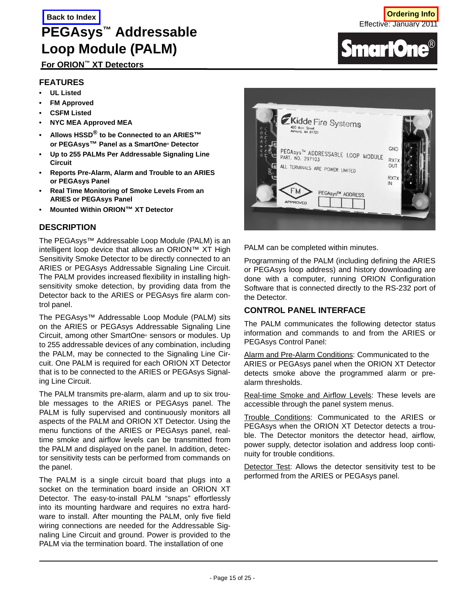# **For ORION™ XT Detectors**

## **FEATURES**

- **UL Listed**
- **FM Approved**
- **CSFM Listed**
- **NYC MEA Approved MEA**
- **Allows HSSD® to be Connected to an ARIES™ or PEGAsys™ Panel as a SmartOne® Detector**
- **Up to 255 PALMs Per Addressable Signaling Line Circuit**
- **Reports Pre-Alarm, Alarm and Trouble to an ARIES or PEGAsys Panel**
- **Real Time Monitoring of Smoke Levels From an ARIES or PEGAsys Panel**
- **Mounted Within ORION™ XT Detector**

## **DESCRIPTION**

The PEGAsys™ Addressable Loop Module (PALM) is an intelligent loop device that allows an ORION™ XT High Sensitivity Smoke Detector to be directly connected to an ARIES or PEGAsys Addressable Signaling Line Circuit. The PALM provides increased flexibility in installing highsensitivity smoke detection, by providing data from the Detector back to the ARIES or PEGAsys fire alarm control panel.

The PEGAsys™ Addressable Loop Module (PALM) sits on the ARIES or PEGAsys Addressable Signaling Line Circuit, among other SmartOne® sensors or modules. Up to 255 addressable devices of any combination, including the PALM, may be connected to the Signaling Line Circuit. One PALM is required for each ORION XT Detector that is to be connected to the ARIES or PEGAsys Signaling Line Circuit.

The PALM transmits pre-alarm, alarm and up to six trouble messages to the ARIES or PEGAsys panel. The PALM is fully supervised and continuously monitors all aspects of the PALM and ORION XT Detector. Using the menu functions of the ARIES or PEGAsys panel, realtime smoke and airflow levels can be transmitted from the PALM and displayed on the panel. In addition, detector sensitivity tests can be performed from commands on the panel.

The PALM is a single circuit board that plugs into a socket on the termination board inside an ORION XT Detector. The easy-to-install PALM "snaps" effortlessly into its mounting hardware and requires no extra hardware to install. After mounting the PALM, only five field wiring connections are needed for the Addressable Signaling Line Circuit and ground. Power is provided to the PALM via the termination board. The installation of one



PALM can be completed within minutes.

Programming of the PALM (including defining the ARIES or PEGAsys loop address) and history downloading are done with a computer, running ORION Configuration Software that is connected directly to the RS-232 port of the Detector.

### **CONTROL PANEL INTERFACE**

The PALM communicates the following detector status information and commands to and from the ARIES or PEGAsys Control Panel:

Alarm and Pre-Alarm Conditions: Communicated to the ARIES or PEGAsys panel when the ORION XT Detector detects smoke above the programmed alarm or prealarm thresholds.

Real-time Smoke and Airflow Levels: These levels are accessible through the panel system menus.

Trouble Conditions: Communicated to the ARIES or PEGAsys when the ORION XT Detector detects a trouble. The Detector monitors the detector head, airflow, power supply, detector isolation and address loop continuity for trouble conditions.

Detector Test: Allows the detector sensitivity test to be performed from the ARIES or PEGAsys panel.